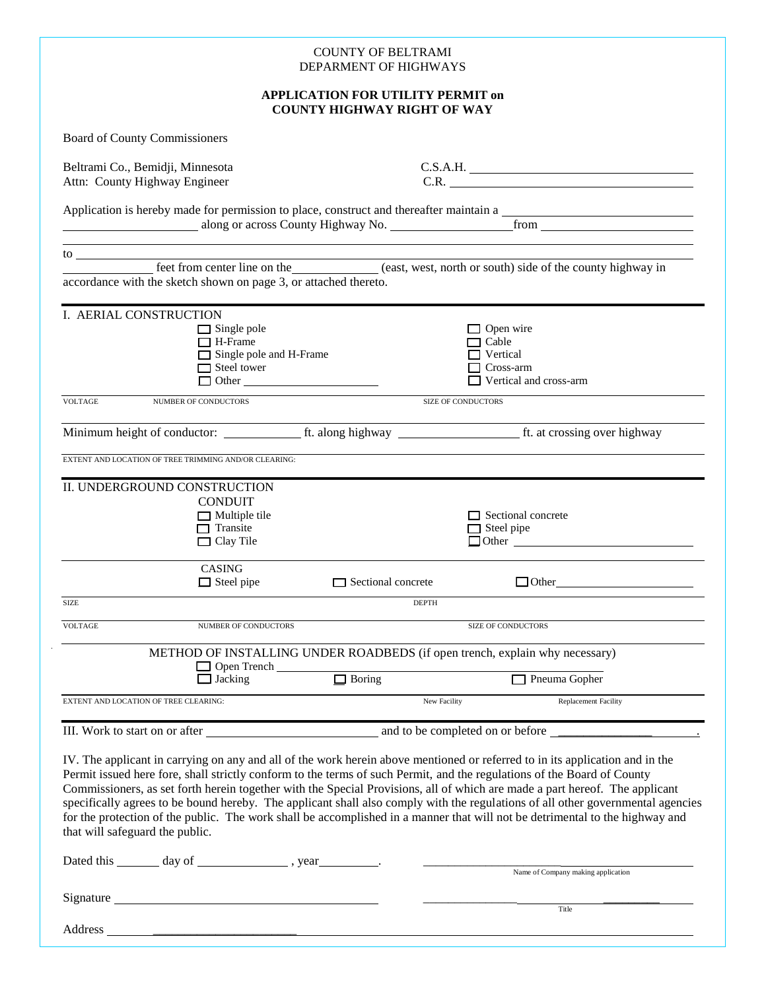|                                                                                                                                                                                                                                                                                               |                                                                                                              | <b>COUNTY OF BELTRAMI</b><br>DEPARMENT OF HIGHWAYS                             |                                                                                                                                                                                                                                                                                                                                                                                                                                                                                                                                                                                                                                                           |  |
|-----------------------------------------------------------------------------------------------------------------------------------------------------------------------------------------------------------------------------------------------------------------------------------------------|--------------------------------------------------------------------------------------------------------------|--------------------------------------------------------------------------------|-----------------------------------------------------------------------------------------------------------------------------------------------------------------------------------------------------------------------------------------------------------------------------------------------------------------------------------------------------------------------------------------------------------------------------------------------------------------------------------------------------------------------------------------------------------------------------------------------------------------------------------------------------------|--|
|                                                                                                                                                                                                                                                                                               |                                                                                                              | <b>APPLICATION FOR UTILITY PERMIT on</b><br><b>COUNTY HIGHWAY RIGHT OF WAY</b> |                                                                                                                                                                                                                                                                                                                                                                                                                                                                                                                                                                                                                                                           |  |
| <b>Board of County Commissioners</b>                                                                                                                                                                                                                                                          |                                                                                                              |                                                                                |                                                                                                                                                                                                                                                                                                                                                                                                                                                                                                                                                                                                                                                           |  |
| Beltrami Co., Bemidji, Minnesota<br>Attn: County Highway Engineer                                                                                                                                                                                                                             |                                                                                                              |                                                                                | C.S.A.H.<br>C.R.                                                                                                                                                                                                                                                                                                                                                                                                                                                                                                                                                                                                                                          |  |
|                                                                                                                                                                                                                                                                                               |                                                                                                              |                                                                                | Application is hereby made for permission to place, construct and thereafter maintain a<br>along or across County Highway No. Trom                                                                                                                                                                                                                                                                                                                                                                                                                                                                                                                        |  |
| $\frac{1}{2}$ to $\frac{1}{2}$ to $\frac{1}{2}$ and $\frac{1}{2}$ and $\frac{1}{2}$ and $\frac{1}{2}$ and $\frac{1}{2}$ and $\frac{1}{2}$ and $\frac{1}{2}$ and $\frac{1}{2}$ and $\frac{1}{2}$ and $\frac{1}{2}$ and $\frac{1}{2}$ and $\frac{1}{2}$ and $\frac{1}{2}$ and $\frac{1}{2}$ and |                                                                                                              |                                                                                |                                                                                                                                                                                                                                                                                                                                                                                                                                                                                                                                                                                                                                                           |  |
| accordance with the sketch shown on page 3, or attached thereto.                                                                                                                                                                                                                              |                                                                                                              |                                                                                | feet from center line on the (east, west, north or south) side of the county highway in                                                                                                                                                                                                                                                                                                                                                                                                                                                                                                                                                                   |  |
| I. AERIAL CONSTRUCTION                                                                                                                                                                                                                                                                        | $\Box$ Single pole<br>$\Box$ H-Frame<br>$\Box$ Single pole and H-Frame<br>$\Box$ Steel tower<br>$\Box$ Other |                                                                                | $\Box$ Open wire<br>$\Box$ Cable<br>Vertical<br>Cross-arm<br>Vertical and cross-arm                                                                                                                                                                                                                                                                                                                                                                                                                                                                                                                                                                       |  |
| <b>VOLTAGE</b>                                                                                                                                                                                                                                                                                | NUMBER OF CONDUCTORS                                                                                         |                                                                                | <b>SIZE OF CONDUCTORS</b>                                                                                                                                                                                                                                                                                                                                                                                                                                                                                                                                                                                                                                 |  |
|                                                                                                                                                                                                                                                                                               |                                                                                                              |                                                                                | Minimum height of conductor:<br>ft. along highway the state crossing over highway                                                                                                                                                                                                                                                                                                                                                                                                                                                                                                                                                                         |  |
| EXTENT AND LOCATION OF TREE TRIMMING AND/OR CLEARING:                                                                                                                                                                                                                                         |                                                                                                              |                                                                                |                                                                                                                                                                                                                                                                                                                                                                                                                                                                                                                                                                                                                                                           |  |
| II. UNDERGROUND CONSTRUCTION                                                                                                                                                                                                                                                                  | <b>CONDUIT</b><br>$\Box$ Multiple tile<br>$\Box$ Transite<br>$\Box$ Clay Tile                                |                                                                                | Sectional concrete<br>$\Box$ Steel pipe<br>$\Box$ Other $\Box$                                                                                                                                                                                                                                                                                                                                                                                                                                                                                                                                                                                            |  |
|                                                                                                                                                                                                                                                                                               | <b>CASING</b><br>$\Box$ Steel pipe                                                                           | $\Box$ Sectional concrete                                                      | $\Box$ Other                                                                                                                                                                                                                                                                                                                                                                                                                                                                                                                                                                                                                                              |  |
| <b>SIZE</b>                                                                                                                                                                                                                                                                                   |                                                                                                              |                                                                                | <b>DEPTH</b>                                                                                                                                                                                                                                                                                                                                                                                                                                                                                                                                                                                                                                              |  |
| <b>VOLTAGE</b>                                                                                                                                                                                                                                                                                | NUMBER OF CONDUCTORS                                                                                         |                                                                                | SIZE OF CONDUCTORS                                                                                                                                                                                                                                                                                                                                                                                                                                                                                                                                                                                                                                        |  |
|                                                                                                                                                                                                                                                                                               |                                                                                                              |                                                                                | METHOD OF INSTALLING UNDER ROADBEDS (if open trench, explain why necessary)                                                                                                                                                                                                                                                                                                                                                                                                                                                                                                                                                                               |  |
|                                                                                                                                                                                                                                                                                               | Open Trench<br>$\Box$ Jacking                                                                                | $\Box$ Boring                                                                  | Pneuma Gopher                                                                                                                                                                                                                                                                                                                                                                                                                                                                                                                                                                                                                                             |  |
| EXTENT AND LOCATION OF TREE CLEARING:                                                                                                                                                                                                                                                         |                                                                                                              |                                                                                | <b>Replacement Facility</b><br>New Facility                                                                                                                                                                                                                                                                                                                                                                                                                                                                                                                                                                                                               |  |
|                                                                                                                                                                                                                                                                                               |                                                                                                              |                                                                                |                                                                                                                                                                                                                                                                                                                                                                                                                                                                                                                                                                                                                                                           |  |
| that will safeguard the public.                                                                                                                                                                                                                                                               |                                                                                                              |                                                                                | IV. The applicant in carrying on any and all of the work herein above mentioned or referred to in its application and in the<br>Permit issued here fore, shall strictly conform to the terms of such Permit, and the regulations of the Board of County<br>Commissioners, as set forth herein together with the Special Provisions, all of which are made a part hereof. The applicant<br>specifically agrees to be bound hereby. The applicant shall also comply with the regulations of all other governmental agencies<br>for the protection of the public. The work shall be accomplished in a manner that will not be detrimental to the highway and |  |
|                                                                                                                                                                                                                                                                                               |                                                                                                              |                                                                                | Name of Company making application                                                                                                                                                                                                                                                                                                                                                                                                                                                                                                                                                                                                                        |  |
|                                                                                                                                                                                                                                                                                               |                                                                                                              |                                                                                | Title                                                                                                                                                                                                                                                                                                                                                                                                                                                                                                                                                                                                                                                     |  |
|                                                                                                                                                                                                                                                                                               |                                                                                                              |                                                                                |                                                                                                                                                                                                                                                                                                                                                                                                                                                                                                                                                                                                                                                           |  |

 $\bar{z}$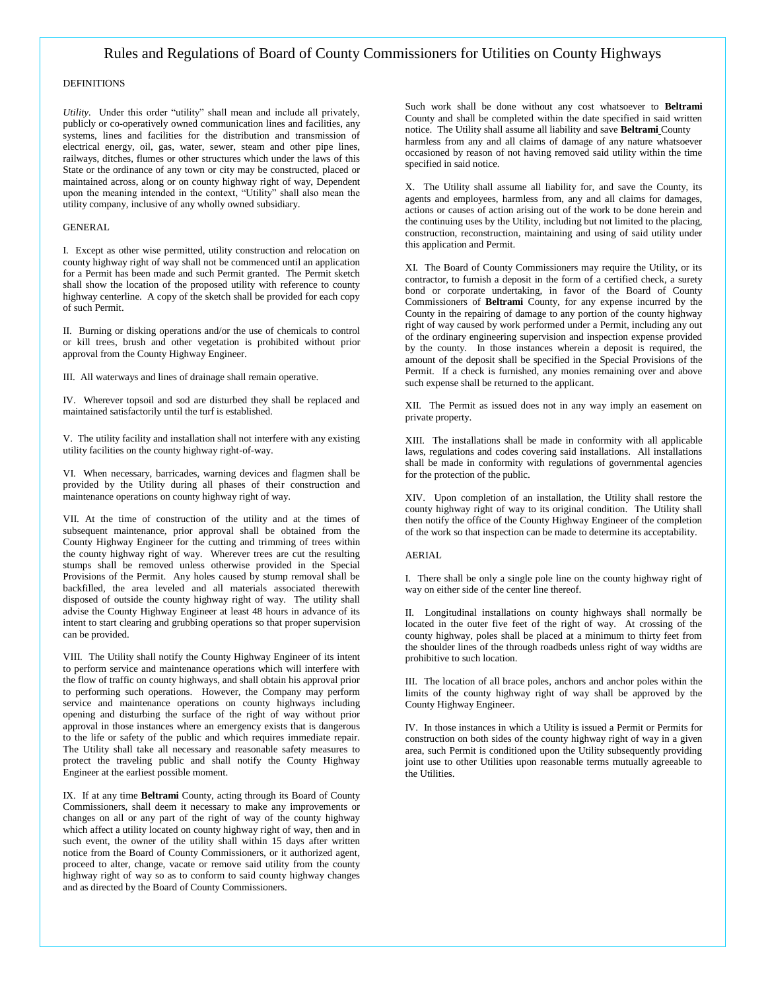## Rules and Regulations of Board of County Commissioners for Utilities on County Highways

#### DEFINITIONS

*Utility.* Under this order "utility" shall mean and include all privately, publicly or co-operatively owned communication lines and facilities, any systems, lines and facilities for the distribution and transmission of electrical energy, oil, gas, water, sewer, steam and other pipe lines, railways, ditches, flumes or other structures which under the laws of this State or the ordinance of any town or city may be constructed, placed or maintained across, along or on county highway right of way, Dependent upon the meaning intended in the context, "Utility" shall also mean the utility company, inclusive of any wholly owned subsidiary.

#### GENERAL

I. Except as other wise permitted, utility construction and relocation on county highway right of way shall not be commenced until an application for a Permit has been made and such Permit granted. The Permit sketch shall show the location of the proposed utility with reference to county highway centerline. A copy of the sketch shall be provided for each copy of such Permit.

II. Burning or disking operations and/or the use of chemicals to control or kill trees, brush and other vegetation is prohibited without prior approval from the County Highway Engineer.

III. All waterways and lines of drainage shall remain operative.

IV. Wherever topsoil and sod are disturbed they shall be replaced and maintained satisfactorily until the turf is established.

V. The utility facility and installation shall not interfere with any existing utility facilities on the county highway right-of-way.

VI. When necessary, barricades, warning devices and flagmen shall be provided by the Utility during all phases of their construction and maintenance operations on county highway right of way.

VII. At the time of construction of the utility and at the times of subsequent maintenance, prior approval shall be obtained from the County Highway Engineer for the cutting and trimming of trees within the county highway right of way. Wherever trees are cut the resulting stumps shall be removed unless otherwise provided in the Special Provisions of the Permit. Any holes caused by stump removal shall be backfilled, the area leveled and all materials associated therewith disposed of outside the county highway right of way. The utility shall advise the County Highway Engineer at least 48 hours in advance of its intent to start clearing and grubbing operations so that proper supervision can be provided.

VIII. The Utility shall notify the County Highway Engineer of its intent to perform service and maintenance operations which will interfere with the flow of traffic on county highways, and shall obtain his approval prior to performing such operations. However, the Company may perform service and maintenance operations on county highways including opening and disturbing the surface of the right of way without prior approval in those instances where an emergency exists that is dangerous to the life or safety of the public and which requires immediate repair. The Utility shall take all necessary and reasonable safety measures to protect the traveling public and shall notify the County Highway Engineer at the earliest possible moment.

IX. If at any time **Beltrami** County, acting through its Board of County Commissioners, shall deem it necessary to make any improvements or changes on all or any part of the right of way of the county highway which affect a utility located on county highway right of way, then and in such event, the owner of the utility shall within 15 days after written notice from the Board of County Commissioners, or it authorized agent, proceed to alter, change, vacate or remove said utility from the county highway right of way so as to conform to said county highway changes and as directed by the Board of County Commissioners.

Such work shall be done without any cost whatsoever to **Beltrami** County and shall be completed within the date specified in said written notice. The Utility shall assume all liability and save **Beltrami** County harmless from any and all claims of damage of any nature whatsoever occasioned by reason of not having removed said utility within the time specified in said notice.

X. The Utility shall assume all liability for, and save the County, its agents and employees, harmless from, any and all claims for damages, actions or causes of action arising out of the work to be done herein and the continuing uses by the Utility, including but not limited to the placing, construction, reconstruction, maintaining and using of said utility under this application and Permit.

XI. The Board of County Commissioners may require the Utility, or its contractor, to furnish a deposit in the form of a certified check, a surety bond or corporate undertaking, in favor of the Board of County Commissioners of **Beltrami** County, for any expense incurred by the County in the repairing of damage to any portion of the county highway right of way caused by work performed under a Permit, including any out of the ordinary engineering supervision and inspection expense provided by the county. In those instances wherein a deposit is required, the amount of the deposit shall be specified in the Special Provisions of the Permit. If a check is furnished, any monies remaining over and above such expense shall be returned to the applicant.

XII. The Permit as issued does not in any way imply an easement on private property.

XIII. The installations shall be made in conformity with all applicable laws, regulations and codes covering said installations. All installations shall be made in conformity with regulations of governmental agencies for the protection of the public.

XIV. Upon completion of an installation, the Utility shall restore the county highway right of way to its original condition. The Utility shall then notify the office of the County Highway Engineer of the completion of the work so that inspection can be made to determine its acceptability.

#### AERIAL

I. There shall be only a single pole line on the county highway right of way on either side of the center line thereof.

II. Longitudinal installations on county highways shall normally be located in the outer five feet of the right of way. At crossing of the county highway, poles shall be placed at a minimum to thirty feet from the shoulder lines of the through roadbeds unless right of way widths are prohibitive to such location.

III. The location of all brace poles, anchors and anchor poles within the limits of the county highway right of way shall be approved by the County Highway Engineer.

IV. In those instances in which a Utility is issued a Permit or Permits for construction on both sides of the county highway right of way in a given area, such Permit is conditioned upon the Utility subsequently providing joint use to other Utilities upon reasonable terms mutually agreeable to the Utilities.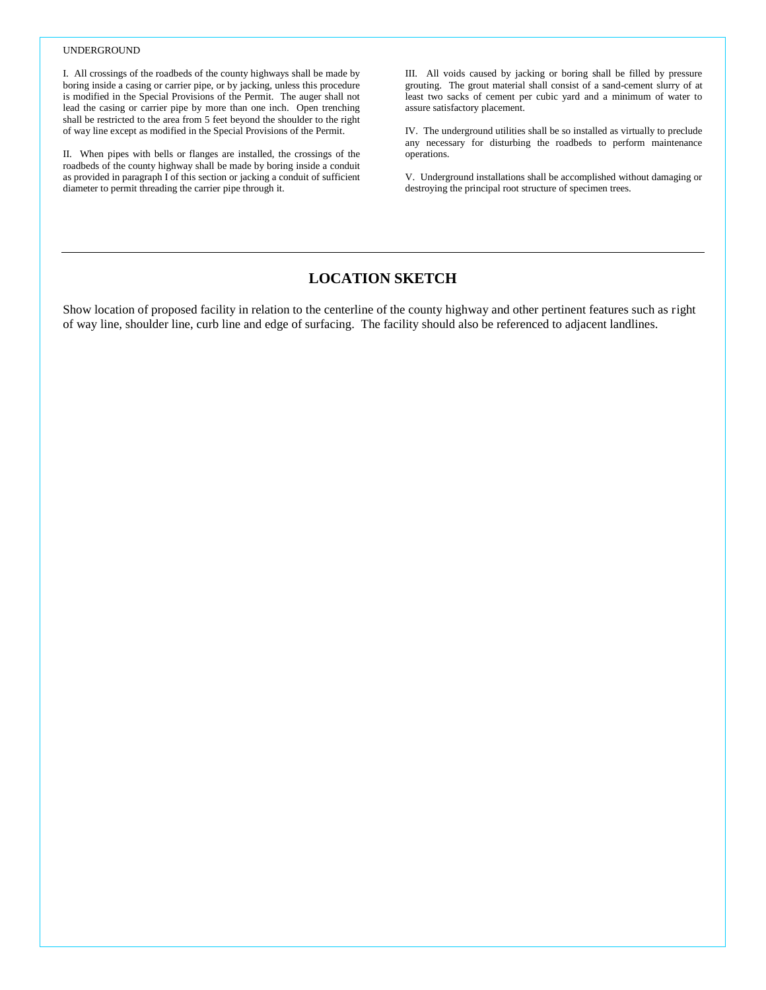#### UNDERGROUND

I. All crossings of the roadbeds of the county highways shall be made by boring inside a casing or carrier pipe, or by jacking, unless this procedure is modified in the Special Provisions of the Permit. The auger shall not lead the casing or carrier pipe by more than one inch. Open trenching shall be restricted to the area from 5 feet beyond the shoulder to the right of way line except as modified in the Special Provisions of the Permit.

II. When pipes with bells or flanges are installed, the crossings of the roadbeds of the county highway shall be made by boring inside a conduit as provided in paragraph I of this section or jacking a conduit of sufficient diameter to permit threading the carrier pipe through it.

III. All voids caused by jacking or boring shall be filled by pressure grouting. The grout material shall consist of a sand-cement slurry of at least two sacks of cement per cubic yard and a minimum of water to assure satisfactory placement.

IV. The underground utilities shall be so installed as virtually to preclude any necessary for disturbing the roadbeds to perform maintenance operations.

V. Underground installations shall be accomplished without damaging or destroying the principal root structure of specimen trees.

# **LOCATION SKETCH**

Show location of proposed facility in relation to the centerline of the county highway and other pertinent features such as right of way line, shoulder line, curb line and edge of surfacing. The facility should also be referenced to adjacent landlines.